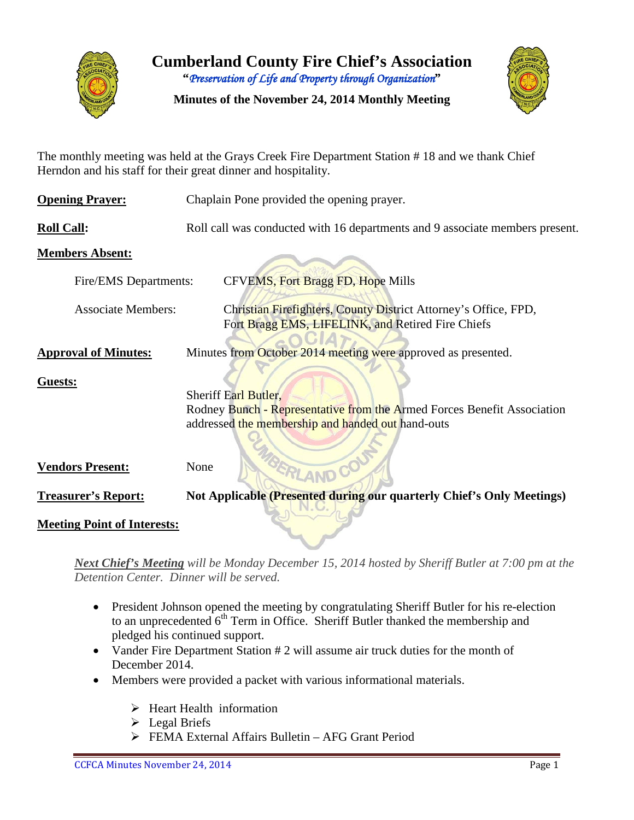

**Cumberland County Fire Chief's Association "***Preservation of Life and Property through Organization***"**

**Minutes of the November 24, 2014 Monthly Meeting**



The monthly meeting was held at the Grays Creek Fire Department Station # 18 and we thank Chief Herndon and his staff for their great dinner and hospitality.

| <b>Opening Prayer:</b>             | Chaplain Pone provided the opening prayer.                                                                                                                  |  |  |  |  |  |  |  |  |
|------------------------------------|-------------------------------------------------------------------------------------------------------------------------------------------------------------|--|--|--|--|--|--|--|--|
| <b>Roll Call:</b>                  | Roll call was conducted with 16 departments and 9 associate members present.                                                                                |  |  |  |  |  |  |  |  |
| <b>Members Absent:</b>             |                                                                                                                                                             |  |  |  |  |  |  |  |  |
| Fire/EMS Departments:              | CFVEMS, Fort Bragg FD, Hope Mills                                                                                                                           |  |  |  |  |  |  |  |  |
| <b>Associate Members:</b>          | Christian Firefighters, County District Attorney's Office, FPD,<br>Fort Bragg EMS, LIFELINK, and Retired Fire Chiefs                                        |  |  |  |  |  |  |  |  |
| <b>Approval of Minutes:</b>        | Minutes from October 2014 meeting were approved as presented.                                                                                               |  |  |  |  |  |  |  |  |
| Guests:                            | <b>Sheriff Earl Butler,</b><br>Rodney Bunch - Representative from the Armed Forces Benefit Association<br>addressed the membership and handed out hand-outs |  |  |  |  |  |  |  |  |
| <b>Vendors Present:</b>            | None                                                                                                                                                        |  |  |  |  |  |  |  |  |
| <b>Treasurer's Report:</b>         | Not Applicable (Presented during our quarterly Chief's Only Meetings)                                                                                       |  |  |  |  |  |  |  |  |
| <b>Meeting Point of Interests:</b> |                                                                                                                                                             |  |  |  |  |  |  |  |  |

*Next Chief's Meeting will be Monday December 15, 2014 hosted by Sheriff Butler at 7:00 pm at the Detention Center. Dinner will be served.*

- President Johnson opened the meeting by congratulating Sheriff Butler for his re-election to an unprecedented  $6<sup>th</sup>$  Term in Office. Sheriff Butler thanked the membership and pledged his continued support.
- Vander Fire Department Station # 2 will assume air truck duties for the month of December 2014.
- Members were provided a packet with various informational materials.
	- $\triangleright$  Heart Health information
	- $\triangleright$  Legal Briefs
	- FEMA External Affairs Bulletin AFG Grant Period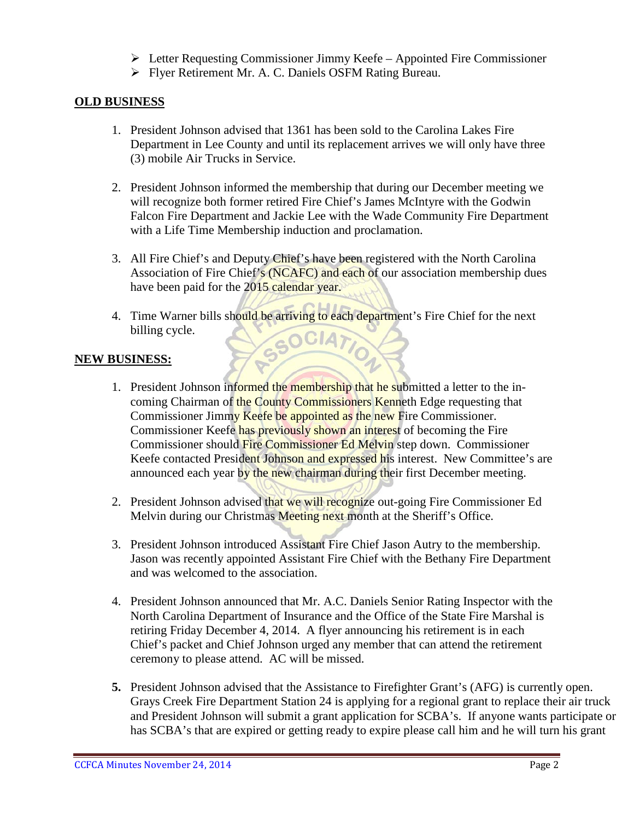- Letter Requesting Commissioner Jimmy Keefe Appointed Fire Commissioner
- Flyer Retirement Mr. A. C. Daniels OSFM Rating Bureau.

#### **OLD BUSINESS**

- 1. President Johnson advised that 1361 has been sold to the Carolina Lakes Fire Department in Lee County and until its replacement arrives we will only have three (3) mobile Air Trucks in Service.
- 2. President Johnson informed the membership that during our December meeting we will recognize both former retired Fire Chief's James McIntyre with the Godwin Falcon Fire Department and Jackie Lee with the Wade Community Fire Department with a Life Time Membership induction and proclamation.
- 3. All Fire Chief's and Deputy Chief's have been registered with the North Carolina Association of Fire Chief's (NCAFC) and each of our association membership dues have been paid for the 2015 calendar year.
- 4. Time Warner bills should be arriving to each department's Fire Chief for the next billing cycle. SOCIATIO

### **NEW BUSINESS:**

- 1. President Johnson informed the membership that he submitted a letter to the incoming Chairman of the County Commissioners Kenneth Edge requesting that Commissioner Jimmy Keefe be appointed as the new Fire Commissioner. Commissioner Keefe has previously shown an interest of becoming the Fire Commissioner should Fire Commissioner Ed Melvin step down. Commissioner Keefe contacted President Johnson and expressed his interest. New Committee's are announced each year by the new chairman during their first December meeting.
- 2. President Johnson advised that we will recognize out-going Fire Commissioner Ed Melvin during our Christmas Meeting next month at the Sheriff's Office.
- 3. President Johnson introduced Assistant Fire Chief Jason Autry to the membership. Jason was recently appointed Assistant Fire Chief with the Bethany Fire Department and was welcomed to the association.
- 4. President Johnson announced that Mr. A.C. Daniels Senior Rating Inspector with the North Carolina Department of Insurance and the Office of the State Fire Marshal is retiring Friday December 4, 2014. A flyer announcing his retirement is in each Chief's packet and Chief Johnson urged any member that can attend the retirement ceremony to please attend. AC will be missed.
- **5.** President Johnson advised that the Assistance to Firefighter Grant's (AFG) is currently open. Grays Creek Fire Department Station 24 is applying for a regional grant to replace their air truck and President Johnson will submit a grant application for SCBA's. If anyone wants participate or has SCBA's that are expired or getting ready to expire please call him and he will turn his grant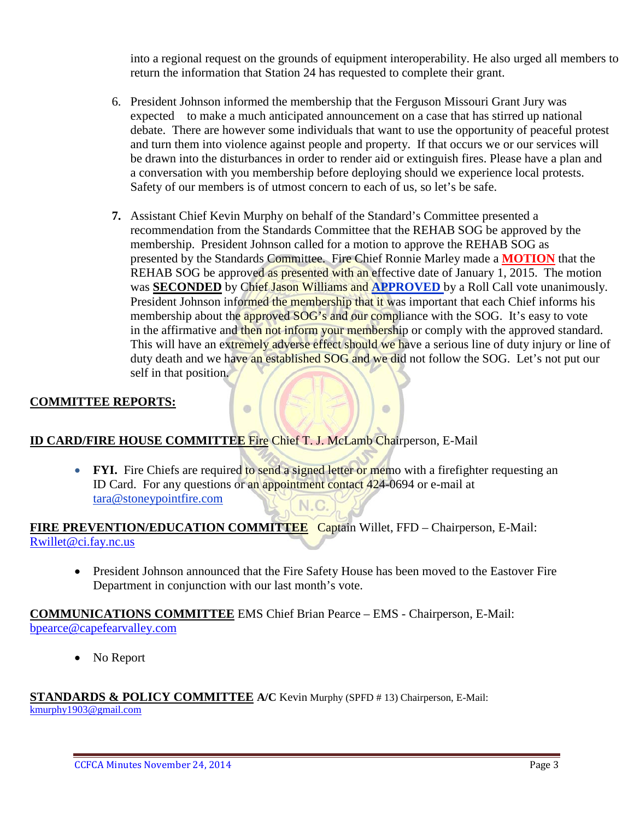into a regional request on the grounds of equipment interoperability. He also urged all members to return the information that Station 24 has requested to complete their grant.

- 6. President Johnson informed the membership that the Ferguson Missouri Grant Jury was expected to make a much anticipated announcement on a case that has stirred up national debate. There are however some individuals that want to use the opportunity of peaceful protest and turn them into violence against people and property. If that occurs we or our services will be drawn into the disturbances in order to render aid or extinguish fires. Please have a plan and a conversation with you membership before deploying should we experience local protests. Safety of our members is of utmost concern to each of us, so let's be safe.
- **7.** Assistant Chief Kevin Murphy on behalf of the Standard's Committee presented a recommendation from the Standards Committee that the REHAB SOG be approved by the membership. President Johnson called for a motion to approve the REHAB SOG as presented by the Standards Committee. Fire Chief Ronnie Marley made a **MOTION** that the REHAB SOG be approved as presented with an effective date of January 1, 2015. The motion was **SECONDED** by Chief Jason Williams and **APPROVED** by a Roll Call vote unanimously. President Johnson informed the membership that it was important that each Chief informs his membership about the approved SOG's and our compliance with the SOG. It's easy to vote in the affirmative and then not inform your membership or comply with the approved standard. This will have an extremely adverse effect should we have a serious line of duty injury or line of duty death and we have an established SOG and we did not follow the SOG. Let's not put our self in that position.

 $\circ$ 

#### **COMMITTEE REPORTS:**

#### **ID CARD/FIRE HOUSE COMMITTEE** Fire Chief T. J. McLamb Chairperson, E-Mail

 $\bullet$ 

• **FYI.** Fire Chiefs are required to send a signed letter or memo with a firefighter requesting an ID Card. For any questions or an appointment contact 424-0694 or e-mail at [tara@stoneypointfire.com](mailto:tara@stoneypointfire.com) N.C.

# **FIRE PREVENTION/EDUCATION COMMITTEE** Captain Willet, FFD – Chairperson, E-Mail: [Rwillet@ci.fay.nc.us](mailto:Rwillet@ci.fay.nc.us)

• President Johnson announced that the Fire Safety House has been moved to the Eastover Fire Department in conjunction with our last month's vote.

#### **COMMUNICATIONS COMMITTEE** EMS Chief Brian Pearce – EMS - Chairperson, E-Mail: bpearce@capefearvalley.com

• No Report

# **STANDARDS & POLICY COMMITTEE A/C** Kevin Murphy (SPFD # 13) Chairperson, E-Mail:

[kmurphy1903@gmail.com](mailto:kmurphy1903@gmail.com)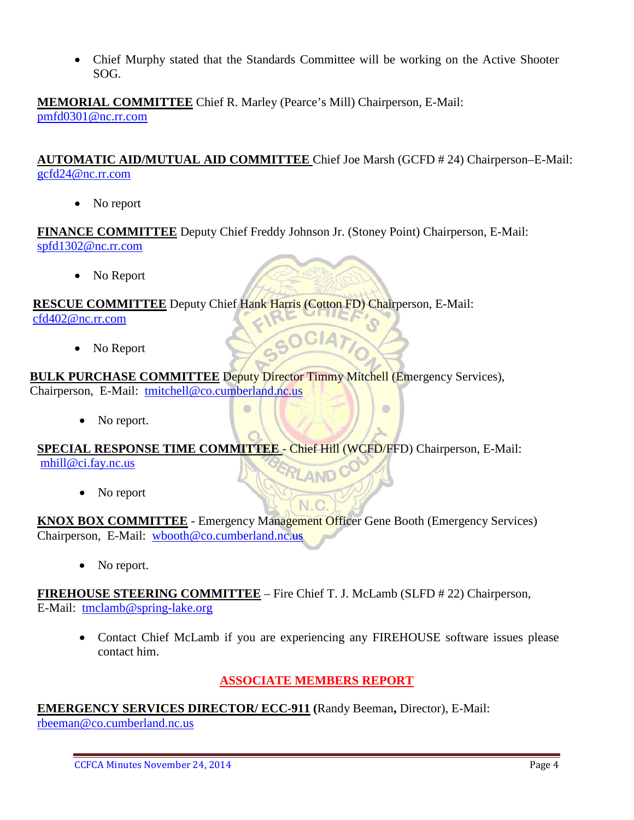• Chief Murphy stated that the Standards Committee will be working on the Active Shooter SOG.

**MEMORIAL COMMITTEE** Chief R. Marley (Pearce's Mill) Chairperson, E-Mail: [pmfd0301@nc.rr.com](mailto:pmfd0301@nc.rr.com)

**AUTOMATIC AID/MUTUAL AID COMMITTEE** Chief Joe Marsh (GCFD # 24) Chairperson–E-Mail: [gcfd24@nc.rr.com](mailto:gcfd24@nc.rr.com) 

• No report

**FINANCE COMMITTEE** Deputy Chief Freddy Johnson Jr. (Stoney Point) Chairperson, E-Mail: [spfd1302@nc.rr.com](mailto:spfd1302@nc.rr.com)

• No Report

**RESCUE COMMITTEE** Deputy Chief Hank Harris (Cotton FD) Chairperson, E-Mail:

 $\bullet$ 

[cfd402@nc.rr.com](mailto:cfd402@nc.rr.com)

• No Report

**BULK PURCHASE COMMITTEE Deputy Director Timmy Mitchell (Emergency Services),** Chairperson, E-Mail: [tmitchell@co.cumberland.nc.us](mailto:tmitchell@co.cumberland.nc.us)

• No report.

**SPECIAL RESPONSE TIME COMMITTEE** - Chief Hill (WCFD/FFD) Chairperson, E-Mail: AND<sup>C</sup>

[mhill@ci.fay.nc.us](mailto:mhill@ci.fay.nc.us)

• No report

**KNOX BOX COMMITTEE** - Emergency Management Officer Gene Booth (Emergency Services) Chairperson, E-Mail: [wbooth@co.cumberland.nc.us](mailto:wbooth@co.cumberland.nc.us)

N C

No report.

**FIREHOUSE STEERING COMMITTEE** – Fire Chief T. J. McLamb (SLFD # 22) Chairperson, E-Mail: [tmclamb@spring-lake.org](mailto:tmclamb@spring-lake.org)

• Contact Chief McLamb if you are experiencing any FIREHOUSE software issues please contact him.

 $\bullet$ 

# **ASSOCIATE MEMBERS REPORT**

**EMERGENCY SERVICES DIRECTOR/ ECC-911 (**Randy Beeman**,** Director), E-Mail: [rbeeman@co.cumberland.nc.us](mailto:rbeeman@co.cumberland.nc.us)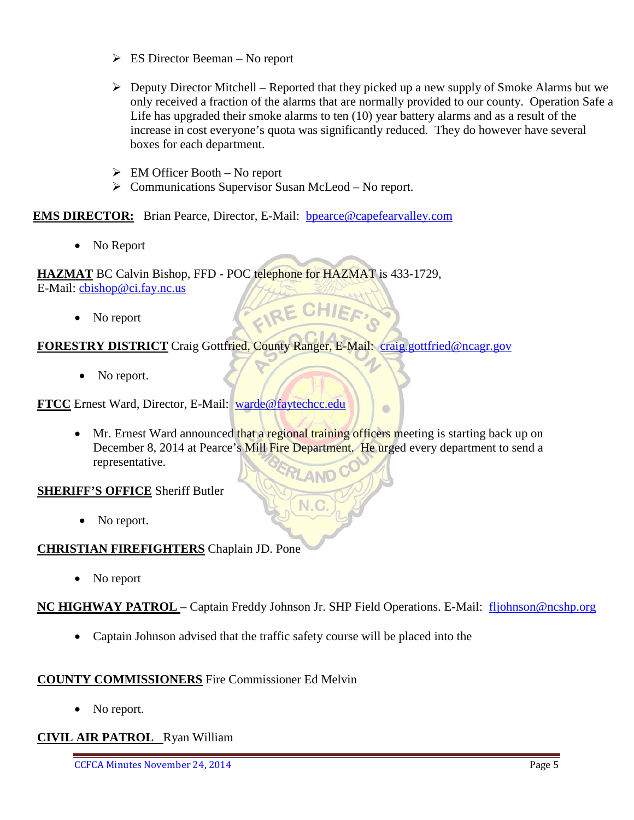- $\triangleright$  ES Director Beeman No report
- $\triangleright$  Deputy Director Mitchell Reported that they picked up a new supply of Smoke Alarms but we only received a fraction of the alarms that are normally provided to our county. Operation Safe a Life has upgraded their smoke alarms to ten (10) year battery alarms and as a result of the increase in cost everyone's quota was significantly reduced. They do however have several boxes for each department.

 $\blacksquare$ 

- $\triangleright$  EM Officer Booth No report
- $\triangleright$  Communications Supervisor Susan McLeod No report.

**EMS DIRECTOR:** Brian Pearce, Director, E-Mail: bpearce@capefearvalley.com

• No Report

**HAZMAT** BC Calvin Bishop, FFD - POC telephone for HAZMAT is 433-1729, E-Mail: [cbishop@ci.fay.nc.us](mailto:cbishop@ci.fay.nc.us) EIRE CHIEF

• No report

### **FORESTRY DISTRICT** Craig Gottfried, County Ranger, E-Mail: [craig.gottfried@ncagr.gov](mailto:craig.gottfried@ncagr.gov)

• No report.

**FTCC** Ernest Ward, Director, E-Mail: [warde@faytechcc.edu](mailto:warde@faytechcc.edu)

• Mr. Ernest Ward announced that a regional training officers meeting is starting back up on December 8, 2014 at Pearce's Mill Fire Department. He urged every department to send a representative.

#### **SHERIFF'S OFFICE** Sheriff Butler

• No report.

#### **CHRISTIAN FIREFIGHTERS** Chaplain JD. Pone

• No report

**NC HIGHWAY PATROL** – Captain Freddy Johnson Jr. SHP Field Operations. E-Mail: [fljohnson@ncshp.org](mailto:fljohnson@ncshp.org)

• Captain Johnson advised that the traffic safety course will be placed into the

#### **COUNTY COMMISSIONERS** Fire Commissioner Ed Melvin

• No report.

#### **CIVIL AIR PATROL** Ryan William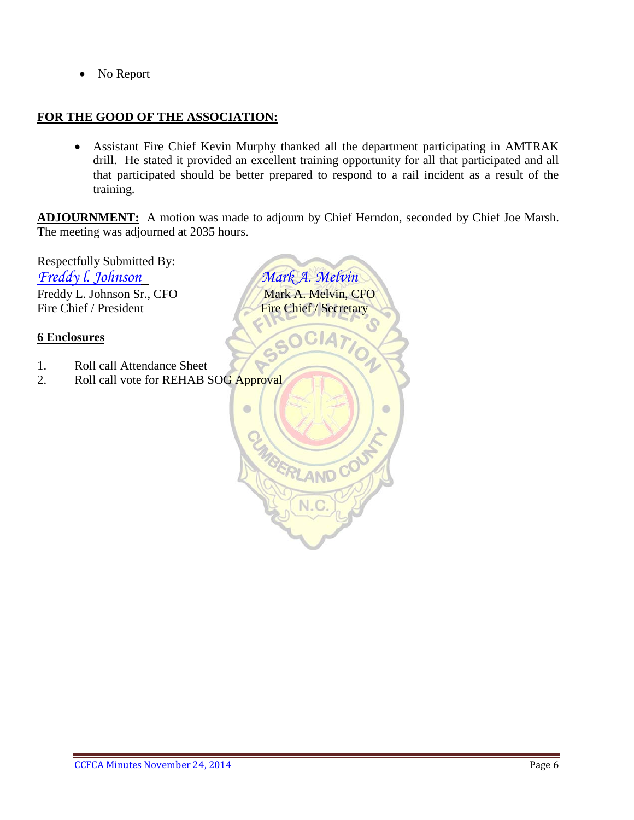• No Report

#### **FOR THE GOOD OF THE ASSOCIATION:**

• Assistant Fire Chief Kevin Murphy thanked all the department participating in AMTRAK drill. He stated it provided an excellent training opportunity for all that participated and all that participated should be better prepared to respond to a rail incident as a result of the training.

BERLAND CO

N.

ö

**ADJOURNMENT:** A motion was made to adjourn by Chief Herndon, seconded by Chief Joe Marsh. The meeting was adjourned at 2035 hours.

 $\bullet$ 

Respectfully Submitted By: *Freddy l. Johnson Mark A. Melvin* Freddy L. Johnson Sr., CFO Mark A. Melvin, CFO Fire Chief / President Fire Chief / Secretary

#### **6 Enclosures**

- 1. Roll call Attendance Sheet
- 2. Roll call vote for REHAB SOG Approval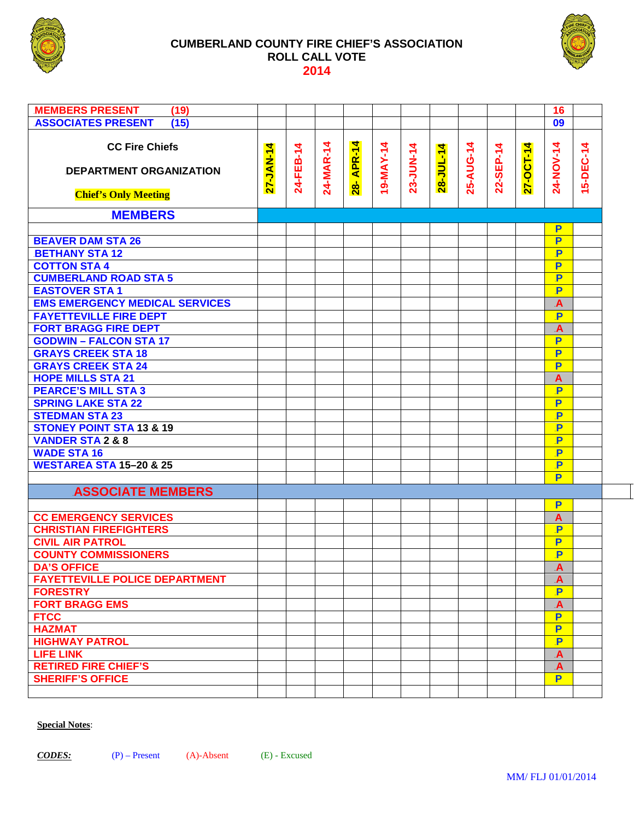

#### **CUMBERLAND COUNTY FIRE CHIEF'S ASSOCIATION ROLL CALL VOTE 2014**



| <b>MEMBERS PRESENT</b><br>(19)        |                 |           |           |            |          |           |           |          |           |          | 16                           |           |
|---------------------------------------|-----------------|-----------|-----------|------------|----------|-----------|-----------|----------|-----------|----------|------------------------------|-----------|
| <b>ASSOCIATES PRESENT</b><br>(15)     |                 |           |           |            |          |           |           |          |           |          | 09                           |           |
|                                       |                 |           |           |            |          |           |           |          |           |          |                              |           |
| <b>CC Fire Chiefs</b>                 | 4               |           |           |            |          |           |           |          |           | 4        |                              |           |
|                                       | <b>27-JAN-1</b> | 24-FEB-14 | 24-MAR-14 | 28- APR-14 | 9-MAY-14 | 23-JUN-14 | 28-JUL-14 | 25-AUG-1 | 22-SEP-14 | 27-OCT-1 | 24-NOV-14                    | 15-DEC-14 |
| DEPARTMENT ORGANIZATION               |                 |           |           |            |          |           |           |          |           |          |                              |           |
|                                       |                 |           |           |            |          |           |           |          |           |          |                              |           |
| <b>Chief's Only Meeting</b>           |                 |           |           |            |          |           |           |          |           |          |                              |           |
|                                       |                 |           |           |            |          |           |           |          |           |          |                              |           |
| <b>MEMBERS</b>                        |                 |           |           |            |          |           |           |          |           |          |                              |           |
|                                       |                 |           |           |            |          |           |           |          |           |          | P                            |           |
| <b>BEAVER DAM STA 26</b>              |                 |           |           |            |          |           |           |          |           |          | P                            |           |
| <b>BETHANY STA 12</b>                 |                 |           |           |            |          |           |           |          |           |          | P                            |           |
| <b>COTTON STA 4</b>                   |                 |           |           |            |          |           |           |          |           |          | P                            |           |
| <b>CUMBERLAND ROAD STA 5</b>          |                 |           |           |            |          |           |           |          |           |          | $\overline{\mathbf{P}}$      |           |
| <b>EASTOVER STA1</b>                  |                 |           |           |            |          |           |           |          |           |          | $\overline{\mathbf{P}}$      |           |
| <b>EMS EMERGENCY MEDICAL SERVICES</b> |                 |           |           |            |          |           |           |          |           |          | $\overline{A}$               |           |
| <b>FAYETTEVILLE FIRE DEPT</b>         |                 |           |           |            |          |           |           |          |           |          | $\overline{\mathbf{P}}$      |           |
| <b>FORT BRAGG FIRE DEPT</b>           |                 |           |           |            |          |           |           |          |           |          | $\overline{\mathsf{A}}$      |           |
| <b>GODWIN - FALCON STA 17</b>         |                 |           |           |            |          |           |           |          |           |          | P                            |           |
| <b>GRAYS CREEK STA 18</b>             |                 |           |           |            |          |           |           |          |           |          | P                            |           |
| <b>GRAYS CREEK STA 24</b>             |                 |           |           |            |          |           |           |          |           |          | P                            |           |
| <b>HOPE MILLS STA 21</b>              |                 |           |           |            |          |           |           |          |           |          | $\mathbf{A}$                 |           |
| <b>PEARCE'S MILL STA 3</b>            |                 |           |           |            |          |           |           |          |           |          | $\mathbf{P}$                 |           |
| <b>SPRING LAKE STA 22</b>             |                 |           |           |            |          |           |           |          |           |          | P                            |           |
|                                       |                 |           |           |            |          |           |           |          |           |          |                              |           |
| <b>STEDMAN STA 23</b>                 |                 |           |           |            |          |           |           |          |           |          | $\mathbf{P}$                 |           |
| <b>STONEY POINT STA 13 &amp; 19</b>   |                 |           |           |            |          |           |           |          |           |          | $\overline{\mathsf{P}}$      |           |
| <b>VANDER STA 2 &amp; 8</b>           |                 |           |           |            |          |           |           |          |           |          | $\overline{P}$               |           |
| <b>WADE STA 16</b>                    |                 |           |           |            |          |           |           |          |           |          | $\mathbf P$                  |           |
| <b>WESTAREA STA 15-20 &amp; 25</b>    |                 |           |           |            |          |           |           |          |           |          | $\overline{\mathsf{P}}$      |           |
|                                       |                 |           |           |            |          |           |           |          |           |          | P                            |           |
| <b>ASSOCIATE MEMBERS</b>              |                 |           |           |            |          |           |           |          |           |          |                              |           |
|                                       |                 |           |           |            |          |           |           |          |           |          | P                            |           |
| <b>CC EMERGENCY SERVICES</b>          |                 |           |           |            |          |           |           |          |           |          | $\overline{A}$               |           |
| <b>CHRISTIAN FIREFIGHTERS</b>         |                 |           |           |            |          |           |           |          |           |          | P                            |           |
| <b>CIVIL AIR PATROL</b>               |                 |           |           |            |          |           |           |          |           |          | P                            |           |
| <b>COUNTY COMMISSIONERS</b>           |                 |           |           |            |          |           |           |          |           |          | P                            |           |
| <b>DA'S OFFICE</b>                    |                 |           |           |            |          |           |           |          |           |          |                              |           |
| <b>FAYETTEVILLE POLICE DEPARTMENT</b> |                 |           |           |            |          |           |           |          |           |          | A<br>$\overline{\mathsf{A}}$ |           |
| <b>FORESTRY</b>                       |                 |           |           |            |          |           |           |          |           |          | P                            |           |
|                                       |                 |           |           |            |          |           |           |          |           |          |                              |           |
| <b>FORT BRAGG EMS</b>                 |                 |           |           |            |          |           |           |          |           |          | $\mathbf{A}$                 |           |
| <b>FTCC</b>                           |                 |           |           |            |          |           |           |          |           |          | P                            |           |
| <b>HAZMAT</b>                         |                 |           |           |            |          |           |           |          |           |          | P                            |           |
| <b>HIGHWAY PATROL</b>                 |                 |           |           |            |          |           |           |          |           |          | P                            |           |
| <b>LIFE LINK</b>                      |                 |           |           |            |          |           |           |          |           |          | $\mathbf{A}$                 |           |
| <b>RETIRED FIRE CHIEF'S</b>           |                 |           |           |            |          |           |           |          |           |          | $\overline{\mathbf{A}}$      |           |
| <b>SHERIFF'S OFFICE</b>               |                 |           |           |            |          |           |           |          |           |          | P                            |           |
|                                       |                 |           |           |            |          |           |           |          |           |          |                              |           |
|                                       |                 |           |           |            |          |           |           |          |           |          |                              |           |

#### **Special Notes**: